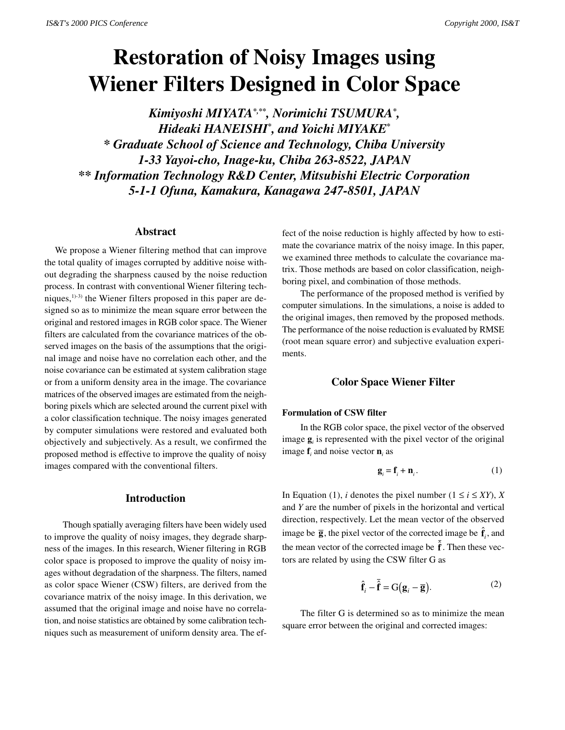# **Restoration of Noisy Images using Wiener Filters Designed in Color Space**

*Kimiyoshi MIYATA\*,\*\*, Norimichi TSUMURA\* , Hideaki HANEISHI\* , and Yoichi MIYAKE\* \* Graduate School of Science and Technology, Chiba University 1-33 Yayoi-cho, Inage-ku, Chiba 263-8522, JAPAN \*\* Information Technology R&D Center, Mitsubishi Electric Corporation 5-1-1 Ofuna, Kamakura, Kanagawa 247-8501, JAPAN*

## **Abstract**

We propose a Wiener filtering method that can improve the total quality of images corrupted by additive noise without degrading the sharpness caused by the noise reduction process. In contrast with conventional Wiener filtering techniques, $1)$ -3) the Wiener filters proposed in this paper are designed so as to minimize the mean square error between the original and restored images in RGB color space. The Wiener filters are calculated from the covariance matrices of the observed images on the basis of the assumptions that the original image and noise have no correlation each other, and the noise covariance can be estimated at system calibration stage or from a uniform density area in the image. The covariance matrices of the observed images are estimated from the neighboring pixels which are selected around the current pixel with a color classification technique. The noisy images generated by computer simulations were restored and evaluated both objectively and subjectively. As a result, we confirmed the proposed method is effective to improve the quality of noisy images compared with the conventional filters.

# **Introduction**

Though spatially averaging filters have been widely used to improve the quality of noisy images, they degrade sharpness of the images. In this research, Wiener filtering in RGB color space is proposed to improve the quality of noisy images without degradation of the sharpness. The filters, named as color space Wiener (CSW) filters, are derived from the covariance matrix of the noisy image. In this derivation, we assumed that the original image and noise have no correlation, and noise statistics are obtained by some calibration techniques such as measurement of uniform density area. The ef-

fect of the noise reduction is highly affected by how to estimate the covariance matrix of the noisy image. In this paper, we examined three methods to calculate the covariance matrix. Those methods are based on color classification, neighboring pixel, and combination of those methods.

The performance of the proposed method is verified by computer simulations. In the simulations, a noise is added to the original images, then removed by the proposed methods. The performance of the noise reduction is evaluated by RMSE (root mean square error) and subjective evaluation experiments.

# **Color Space Wiener Filter**

## **Formulation of CSW filter**

In the RGB color space, the pixel vector of the observed image  $\mathbf{g}_i$  is represented with the pixel vector of the original image  $f_i$  and noise vector  $\mathbf{n}_i$  as

$$
\mathbf{g}_i = \mathbf{f}_i + \mathbf{n}_i. \tag{1}
$$

In Equation (1), *i* denotes the pixel number ( $1 \le i \le XY$ ), *X* and *Y* are the number of pixels in the horizontal and vertical direction, respectively. Let the mean vector of the observed image be  $\overline{g}$ , the pixel vector of the corrected image be  $\hat{f}_i$ , and the mean vector of the corrected image be  $\hat{\mathbf{f}}$ . Then these vectors are related by using the CSW filter G as

$$
\hat{\mathbf{f}}_i - \overline{\hat{\mathbf{f}}} = G(\mathbf{g}_i - \overline{\mathbf{g}}).
$$
 (2)

The filter G is determined so as to minimize the mean square error between the original and corrected images: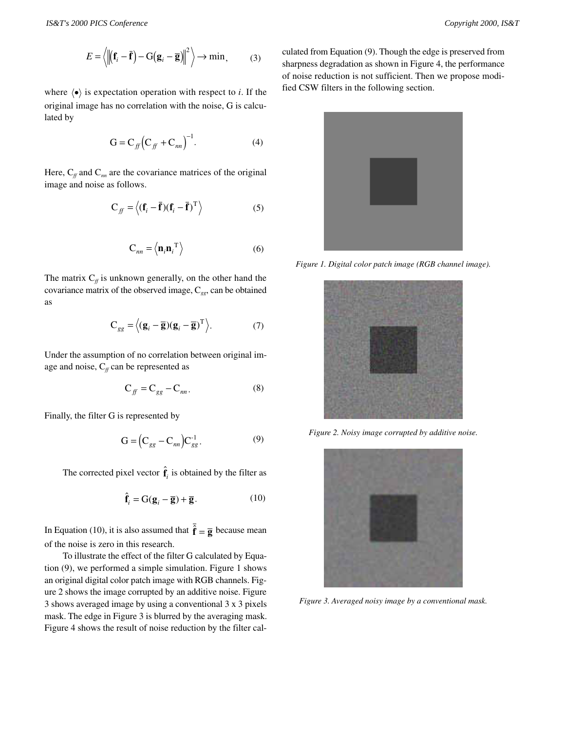$$
E = \left\langle \left\| \left( \mathbf{f}_i - \overline{\mathbf{f}} \right) - \mathbf{G} \left( \mathbf{g}_i - \overline{\mathbf{g}} \right) \right\|^2 \right\rangle \to \min, \tag{3}
$$

where  $\langle \bullet \rangle$  is expectation operation with respect to *i*. If the original image has no correlation with the noise, G is calculated by

$$
G = C_{ff} (C_{ff} + C_{nn})^{-1}.
$$
 (4)

Here,  $C_f$  and  $C_m$  are the covariance matrices of the original image and noise as follows.

$$
C_{ff} = \langle (\mathbf{f}_i - \bar{\mathbf{f}})(\mathbf{f}_i - \bar{\mathbf{f}})^T \rangle
$$
 (5)

$$
\mathbf{C}_{nn} = \left\langle \mathbf{n}_i \mathbf{n}_i^{\mathrm{T}} \right\rangle \tag{6}
$$

The matrix  $C_f$  is unknown generally, on the other hand the covariance matrix of the observed image, C*gg*, can be obtained as

$$
\mathbf{C}_{gg} = \langle (\mathbf{g}_i - \overline{\mathbf{g}})(\mathbf{g}_i - \overline{\mathbf{g}})^{\mathrm{T}} \rangle. \tag{7}
$$

Under the assumption of no correlation between original image and noise,  $C_f$  can be represented as

$$
\mathbf{C}_{ff} = \mathbf{C}_{gg} - \mathbf{C}_{nn}.\tag{8}
$$

Finally, the filter G is represented by

$$
\mathbf{G} = (\mathbf{C}_{gg} - \mathbf{C}_{nn}) \mathbf{C}_{gg}^{-1}.
$$

The corrected pixel vector  $\hat{\mathbf{f}}_i$  is obtained by the filter as

$$
\hat{\mathbf{f}}_i = \mathbf{G}(\mathbf{g}_i - \overline{\mathbf{g}}) + \overline{\mathbf{g}}.
$$
 (10)

In Equation (10), it is also assumed that  $\hat{\mathbf{f}} = \overline{\mathbf{g}}$  because mean of the noise is zero in this research.

To illustrate the effect of the filter G calculated by Equation (9), we performed a simple simulation. Figure 1 shows an original digital color patch image with RGB channels. Figure 2 shows the image corrupted by an additive noise. Figure 3 shows averaged image by using a conventional 3 x 3 pixels mask. The edge in Figure 3 is blurred by the averaging mask. Figure 4 shows the result of noise reduction by the filter calculated from Equation (9). Though the edge is preserved from sharpness degradation as shown in Figure 4, the performance of noise reduction is not sufficient. Then we propose modified CSW filters in the following section.



*Figure 1. Digital color patch image (RGB channel image).*



*Figure 2. Noisy image corrupted by additive noise.*



*Figure 3. Averaged noisy image by a conventional mask.*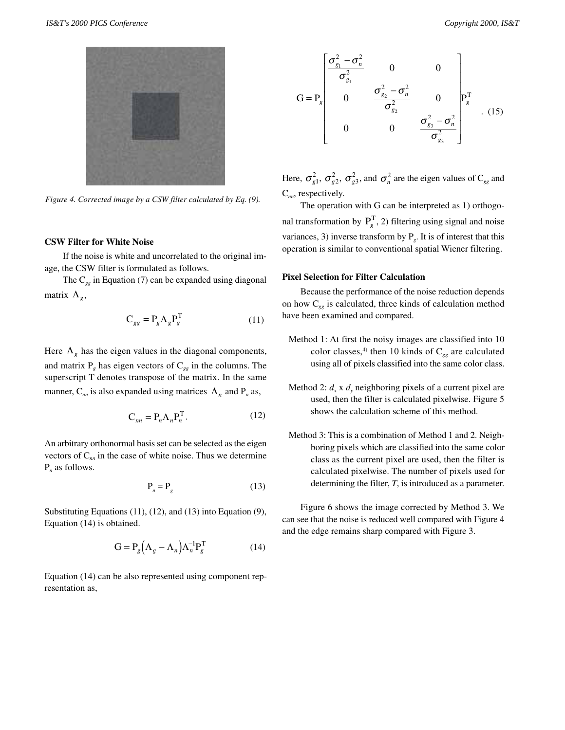

*Figure 4. Corrected image by a CSW filter calculated by Eq. (9).*

#### **CSW Filter for White Noise**

If the noise is white and uncorrelated to the original image, the CSW filter is formulated as follows.

The C*gg* in Equation (7) can be expanded using diagonal matrix  $\Lambda_{g}$ ,

$$
C_{gg} = P_g \Lambda_g P_g^T \tag{11}
$$

Here  $\Lambda_g$  has the eigen values in the diagonal components, and matrix  $P_g$  has eigen vectors of  $C_{gg}$  in the columns. The superscript T denotes transpose of the matrix. In the same manner,  $C_{nn}$  is also expanded using matrices  $\Lambda_n$  and  $P_n$  as,

$$
\mathbf{C}_{nn} = \mathbf{P}_n \Lambda_n \mathbf{P}_n^{\mathrm{T}}.\tag{12}
$$

An arbitrary orthonormal basis set can be selected as the eigen vectors of C*nn* in the case of white noise. Thus we determine P*n* as follows.

$$
P_n = P_g \tag{13}
$$

Substituting Equations (11), (12), and (13) into Equation (9), Equation (14) is obtained.

$$
G = P_g \left(\Lambda_g - \Lambda_n\right) \Lambda_n^{-1} P_g^T \tag{14}
$$

Equation (14) can be also represented using component representation as,



Here,  $\sigma_{g1}^2$ ,  $\sigma_{g2}^2$ ,  $\sigma_{g3}^2$ , and  $\sigma_n^2$  are the eigen values of C<sub>gg</sub> and C*nn*, respectively.

The operation with G can be interpreted as 1) orthogonal transformation by  $P_g^T$ , 2) filtering using signal and noise variances, 3) inverse transform by  $P<sub>g</sub>$ . It is of interest that this operation is similar to conventional spatial Wiener filtering.

#### **Pixel Selection for Filter Calculation**

Because the performance of the noise reduction depends on how C*gg* is calculated, three kinds of calculation method have been examined and compared.

- Method 1: At first the noisy images are classified into 10 color classes,<sup>4)</sup> then 10 kinds of  $C_{gg}$  are calculated using all of pixels classified into the same color class.
- Method 2:  $d_x$  x  $d_y$  neighboring pixels of a current pixel are used, then the filter is calculated pixelwise. Figure 5 shows the calculation scheme of this method.
- Method 3: This is a combination of Method 1 and 2. Neighboring pixels which are classified into the same color class as the current pixel are used, then the filter is calculated pixelwise. The number of pixels used for determining the filter, *T*, is introduced as a parameter.

Figure 6 shows the image corrected by Method 3. We can see that the noise is reduced well compared with Figure 4 and the edge remains sharp compared with Figure 3.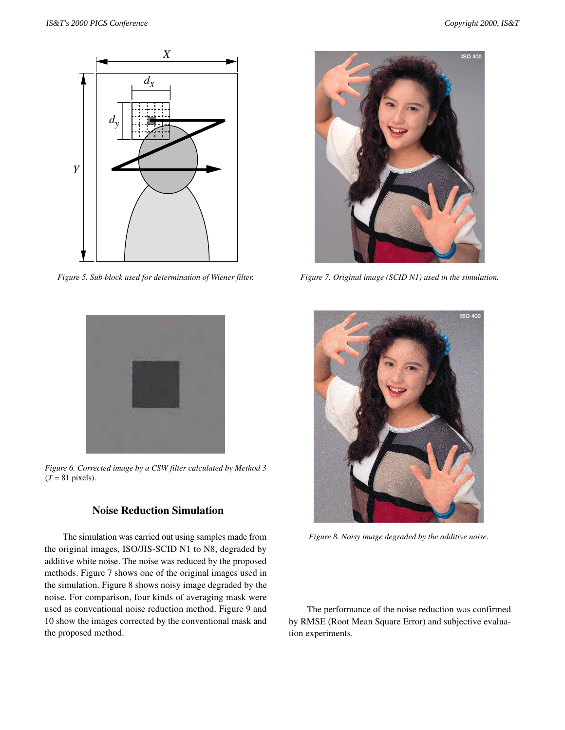

*Figure 5. Sub block used for determination of Wiener filter.*



*Figure 6. Corrected image by a CSW filter calculated by Method 3*  $(T = 81$  pixels).

# **Noise Reduction Simulation**

The simulation was carried out using samples made from the original images, ISO/JIS-SCID N1 to N8, degraded by additive white noise. The noise was reduced by the proposed methods. Figure 7 shows one of the original images used in the simulation. Figure 8 shows noisy image degraded by the noise. For comparison, four kinds of averaging mask were used as conventional noise reduction method. Figure 9 and 10 show the images corrected by the conventional mask and the proposed method.



*Figure 7. Original image (SCID N1) used in the simulation.*



*Figure 8. Noisy image degraded by the additive noise.*

The performance of the noise reduction was confirmed by RMSE (Root Mean Square Error) and subjective evaluation experiments.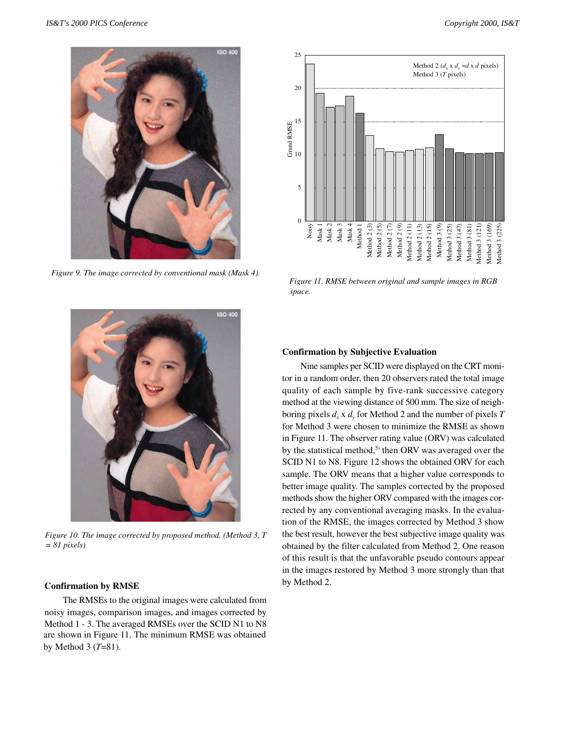

*Figure 9. The image corrected by conventional mask (Mask 4).*



*Figure 10. The image corrected by proposed method. (Method 3, T = 81 pixels)*

## **Confirmation by RMSE**

The RMSEs to the original images were calculated from noisy images, comparison images, and images corrected by Method 1 - 3. The averaged RMSEs over the SCID N1 to N8 are shown in Figure 11. The minimum RMSE was obtained by Method 3 (*T*=81).



*Figure 11. RMSE between original and sample images in RGB space.*

## **Confirmation by Subjective Evaluation**

Nine samples per SCID were displayed on the CRT monitor in a random order, then 20 observers rated the total image quality of each sample by five-rank successive category method at the viewing distance of 500 mm. The size of neighboring pixels  $d_x$  x  $d_y$  for Method 2 and the number of pixels *T* for Method 3 were chosen to minimize the RMSE as shown in Figure 11. The observer rating value (ORV) was calculated by the statistical method,<sup>5)</sup> then ORV was averaged over the SCID N1 to N8. Figure 12 shows the obtained ORV for each sample. The ORV means that a higher value corresponds to better image quality. The samples corrected by the proposed methods show the higher ORV compared with the images corrected by any conventional averaging masks. In the evaluation of the RMSE, the images corrected by Method 3 show the best result, however the best subjective image quality was obtained by the filter calculated from Method 2. One reason of this result is that the unfavorable pseudo contours appear in the images restored by Method 3 more strongly than that by Method 2.